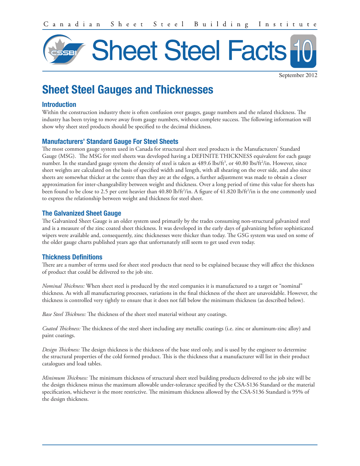

September 2012

# Sheet Steel Gauges and Thicknesses

#### Introduction

Within the construction industry there is often confusion over gauges, gauge numbers and the related thickness. The industry has been trying to move away from gauge numbers, without complete success. The following information will show why sheet steel products should be specified to the decimal thickness.

# Manufacturers' Standard Gauge For Steel Sheets

The most common gauge system used in Canada for structural sheet steel products is the Manufacturers' Standard Gauge (MSG). The MSG for steel sheets was developed having a DEFINITE THICKNESS equivalent for each gauge number. In the standard gauge system the density of steel is taken as 489.6 lbs/ft<sup>3</sup>, or 40.80 lbs/ft<sup>2</sup>/in. However, since sheet weights are calculated on the basis of specified width and length, with all shearing on the over side, and also since sheets are somewhat thicker at the centre than they are at the edges, a further adjustment was made to obtain a closer approximation for inter-changeability between weight and thickness. Over a long period of time this value for sheets has been found to be close to 2.5 per cent heavier than 40.80 lb/ft<sup>2</sup>/in. A figure of 41.820 lb/ft<sup>2</sup>/in is the one commonly used to express the relationship between weight and thickness for steel sheet.

## The Galvanized Sheet Gauge

The Galvanized Sheet Gauge is an older system used primarily by the trades consuming non-structural galvanized steel and is a measure of the zinc coated sheet thickness. It was developed in the early days of galvanizing before sophisticated wipers were available and, consequently, zinc thicknesses were thicker than today. The GSG system was used on some of the older gauge charts published years ago that unfortunately still seem to get used even today.

# Thickness Definitions

There are a number of terms used for sheet steel products that need to be explained because they will affect the thickness of product that could be delivered to the job site.

*Nominal Thickness:* When sheet steel is produced by the steel companies it is manufactured to a target or "nominal" thickness. As with all manufacturing processes, variations in the final thickness of the sheet are unavoidable. However, the thickness is controlled very tightly to ensure that it does not fall below the minimum thickness (as described below).

*Base Steel Thickness:* The thickness of the sheet steel material without any coatings.

*Coated Thickness:* The thickness of the steel sheet including any metallic coatings (i.e. zinc or aluminum-zinc alloy) and paint coatings.

*Design Thickness:* The design thickness is the thickness of the base steel only, and is used by the engineer to determine the structural properties of the cold formed product. This is the thickness that a manufacturer will list in their product catalogues and load tables.

*Minimum Thickness:* The minimum thickness of structural sheet steel building products delivered to the job site will be the design thickness minus the maximum allowable under-tolerance specified by the CSA-S136 Standard or the material specification, whichever is the more restrictive. The minimum thickness allowed by the CSA-S136 Standard is 95% of the design thickness.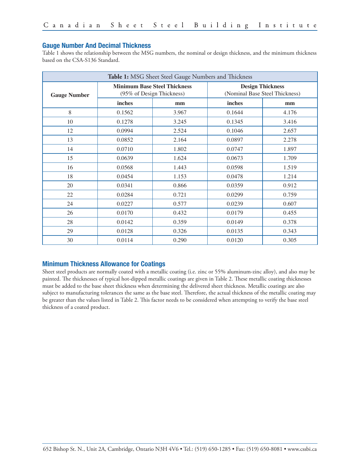#### Gauge Number And Decimal Thickness

Table 1 shows the relationship between the MSG numbers, the nominal or design thickness, and the minimum thickness based on the CSA-S136 Standard.

| Table 1: MSG Sheet Steel Gauge Numbers and Thickness |                                                                  |       |                                                           |       |  |
|------------------------------------------------------|------------------------------------------------------------------|-------|-----------------------------------------------------------|-------|--|
| <b>Gauge Number</b>                                  | <b>Minimum Base Steel Thickness</b><br>(95% of Design Thickness) |       | <b>Design Thickness</b><br>(Nominal Base Steel Thickness) |       |  |
|                                                      | inches                                                           | mm    | inches                                                    | mm    |  |
| 8                                                    | 0.1562                                                           | 3.967 | 0.1644                                                    | 4.176 |  |
| 10                                                   | 0.1278                                                           | 3.245 | 0.1345                                                    | 3.416 |  |
| 12                                                   | 0.0994                                                           | 2.524 | 0.1046                                                    | 2.657 |  |
| 13                                                   | 0.0852                                                           | 2.164 | 0.0897                                                    | 2.278 |  |
| 14                                                   | 0.0710                                                           | 1.802 | 0.0747                                                    | 1.897 |  |
| 15                                                   | 0.0639                                                           | 1.624 | 0.0673                                                    | 1.709 |  |
| 16                                                   | 0.0568                                                           | 1.443 | 0.0598                                                    | 1.519 |  |
| 18                                                   | 0.0454                                                           | 1.153 | 0.0478                                                    | 1.214 |  |
| 20                                                   | 0.0341                                                           | 0.866 | 0.0359                                                    | 0.912 |  |
| 22                                                   | 0.0284                                                           | 0.721 | 0.0299                                                    | 0.759 |  |
| 24                                                   | 0.0227                                                           | 0.577 | 0.0239                                                    | 0.607 |  |
| 26                                                   | 0.0170                                                           | 0.432 | 0.0179                                                    | 0.455 |  |
| 28                                                   | 0.0142                                                           | 0.359 | 0.0149                                                    | 0.378 |  |
| 29                                                   | 0.0128                                                           | 0.326 | 0.0135                                                    | 0.343 |  |
| 30                                                   | 0.0114                                                           | 0.290 | 0.0120                                                    | 0.305 |  |

#### Minimum Thickness Allowance for Coatings

Sheet steel products are normally coated with a metallic coating (i.e. zinc or 55% aluminum-zinc alloy), and also may be painted. The thicknesses of typical hot-dipped metallic coatings are given in Table 2. These metallic coating thicknesses must be added to the base sheet thickness when determining the delivered sheet thickness. Metallic coatings are also subject to manufacturing tolerances the same as the base steel. Therefore, the actual thickness of the metallic coating may be greater than the values listed in Table 2. This factor needs to be considered when attempting to verify the base steel thickness of a coated product.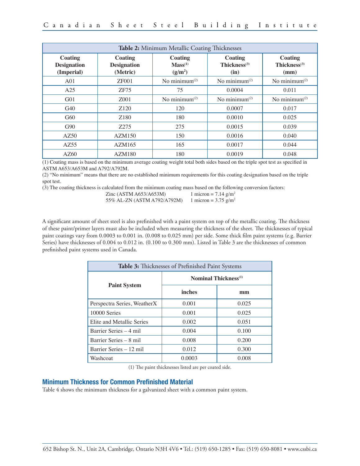| Table 2: Minimum Metallic Coating Thicknesses      |                                                  |                                                       |                                                    |                                           |  |
|----------------------------------------------------|--------------------------------------------------|-------------------------------------------------------|----------------------------------------------------|-------------------------------------------|--|
| <b>Coating</b><br><b>Designation</b><br>(Imperial) | <b>Coating</b><br><b>Designation</b><br>(Metric) | Coating<br>Mass <sup>(1)</sup><br>(g/m <sup>2</sup> ) | <b>Coating</b><br>Thickness <sup>(3)</sup><br>(in) | <b>Coating</b><br>Thickness $(3)$<br>(mm) |  |
| A <sub>01</sub>                                    | <b>ZF001</b>                                     | No minimum $(2)$                                      | No minimum <sup>(2)</sup>                          | No minimum $(2)$                          |  |
| A25                                                | ZF75                                             | 75                                                    | 0.0004                                             | 0.011                                     |  |
| G <sub>01</sub>                                    | Z <sub>001</sub>                                 | No minimum $(2)$                                      | No minimum $(2)$                                   | No minimum $(2)$                          |  |
| G40                                                | Z <sub>120</sub>                                 | 120                                                   | 0.0007                                             | 0.017                                     |  |
| G60                                                | Z <sub>180</sub>                                 | 180                                                   | 0.0010                                             | 0.025                                     |  |
| G90                                                | Z275                                             | 275                                                   | 0.0015                                             | 0.039                                     |  |
| AZ50                                               | AZM150                                           | 150                                                   | 0.0016                                             | 0.040                                     |  |
| AZ55                                               | AZM165                                           | 165                                                   | 0.0017                                             | 0.044                                     |  |
| AZ60                                               | AZM180                                           | 180                                                   | 0.0019                                             | 0.048                                     |  |

(1) Coating mass is based on the minimum average coating weight total both sides based on the triple spot test as specified in ASTM A653/A653M and A792/A792M.

(2) "No minimum" means that there are no established minimum requirements for this coating designation based on the triple spot test.

(3) The coating thickness is calculated from the minimum coating mass based on the following conversion factors:

Zinc (ASTM A653/A653M) 1 micron =  $7.14$  g/m<sup>2</sup> 55% AL-ZN (ASTM A792/A792M) 1 micron =  $3.75$  g/m<sup>2</sup>

A significant amount of sheet steel is also prefinished with a paint system on top of the metallic coating. The thickness of these paint/primer layers must also be included when measuring the thickness of the sheet. The thicknesses of typical paint coatings vary from 0.0003 to 0.001 in. (0.008 to 0.025 mm) per side. Some thick film paint systems (e.g. Barrier Series) have thicknesses of 0.004 to 0.012 in. (0.100 to 0.300 mm). Listed in Table 3 are the thicknesses of common prefinished paint systems used in Canada.

| Table 3: Thicknesses of Prefinished Paint Systems |                                         |       |  |  |
|---------------------------------------------------|-----------------------------------------|-------|--|--|
|                                                   | <b>Nominal Thickness</b> <sup>(1)</sup> |       |  |  |
| <b>Paint System</b>                               | inches                                  | mm    |  |  |
| Perspectra Series, WeatherX                       | 0.001                                   | 0.025 |  |  |
| 10000 Series                                      | 0.001                                   | 0.025 |  |  |
| Elite and Metallic Series                         | 0.002                                   | 0.051 |  |  |
| Barrier Series – 4 mil                            | 0.004                                   | 0.100 |  |  |
| Barrier Series – 8 mil                            | 0.008                                   | 0.200 |  |  |
| Barrier Series - 12 mil                           | 0.012                                   | 0.300 |  |  |
| Washcoat                                          | 0.0003                                  | 0.008 |  |  |

(1) The paint thicknesses listed are per coated side.

#### Minimum Thickness for Common Prefinished Material

Table 4 shows the minimum thickness for a galvanized sheet with a common paint system.